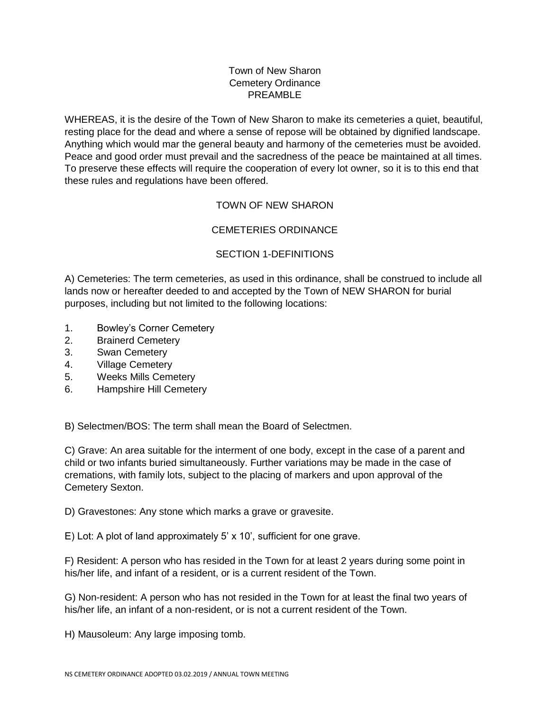## Town of New Sharon Cemetery Ordinance PREAMBLE

WHEREAS, it is the desire of the Town of New Sharon to make its cemeteries a quiet, beautiful, resting place for the dead and where a sense of repose will be obtained by dignified landscape. Anything which would mar the general beauty and harmony of the cemeteries must be avoided. Peace and good order must prevail and the sacredness of the peace be maintained at all times. To preserve these effects will require the cooperation of every lot owner, so it is to this end that these rules and regulations have been offered.

# TOWN OF NEW SHARON

# CEMETERIES ORDINANCE

# SECTION 1-DEFINITIONS

A) Cemeteries: The term cemeteries, as used in this ordinance, shall be construed to include all lands now or hereafter deeded to and accepted by the Town of NEW SHARON for burial purposes, including but not limited to the following locations:

- 1. Bowley's Corner Cemetery
- 2. Brainerd Cemetery
- 3. Swan Cemetery
- 4. Village Cemetery
- 5. Weeks Mills Cemetery
- 6. Hampshire Hill Cemetery

B) Selectmen/BOS: The term shall mean the Board of Selectmen.

C) Grave: An area suitable for the interment of one body, except in the case of a parent and child or two infants buried simultaneously. Further variations may be made in the case of cremations, with family lots, subject to the placing of markers and upon approval of the Cemetery Sexton.

D) Gravestones: Any stone which marks a grave or gravesite.

E) Lot: A plot of land approximately 5' x 10', sufficient for one grave.

F) Resident: A person who has resided in the Town for at least 2 years during some point in his/her life, and infant of a resident, or is a current resident of the Town.

G) Non-resident: A person who has not resided in the Town for at least the final two years of his/her life, an infant of a non-resident, or is not a current resident of the Town.

H) Mausoleum: Any large imposing tomb.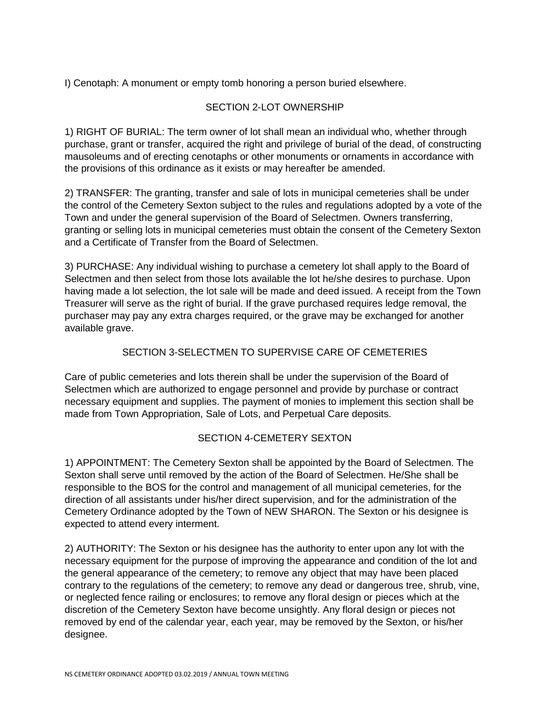I) Cenotaph: A monument or empty tomb honoring a person buried elsewhere.

## SECTION 2-LOT OWNERSHIP

1) RIGHT OF BURIAL: The term owner of lot shall mean an individual who, whether through purchase, grant or transfer, acquired the right and privilege of burial of the dead, of constructing mausoleums and of erecting cenotaphs or other monuments or ornaments in accordance with the provisions of this ordinance as it exists or may hereafter be amended.

2) TRANSFER: The granting, transfer and sale of lots in municipal cemeteries shall be under the control of the Cemetery Sexton subject to the rules and regulations adopted by a vote of the Town and under the general supervision of the Board of Selectmen. Owners transferring, granting or selling lots in municipal cemeteries must obtain the consent of the Cemetery Sexton and a Certificate of Transfer from the Board of Selectmen.

3) PURCHASE: Any individual wishing to purchase a cemetery lot shall apply to the Board of Selectmen and then select from those lots available the lot he/she desires to purchase. Upon having made a lot selection, the lot sale will be made and deed issued. A receipt from the Town Treasurer will serve as the right of burial. If the grave purchased requires ledge removal, the purchaser may pay any extra charges required, or the grave may be exchanged for another available grave.

## SECTION 3-SELECTMEN TO SUPERVISE CARE OF CEMETERIES

Care of public cemeteries and lots therein shall be under the supervision of the Board of Selectmen which are authorized to engage personnel and provide by purchase or contract necessary equipment and supplies. The payment of monies to implement this section shall be made from Town Appropriation, Sale of Lots, and Perpetual Care deposits.

#### SECTION 4-CEMETERY SEXTON

1) APPOINTMENT: The Cemetery Sexton shall be appointed by the Board of Selectmen. The Sexton shall serve until removed by the action of the Board of Selectmen. He/She shall be responsible to the BOS for the control and management of all municipal cemeteries, for the direction of all assistants under his/her direct supervision, and for the administration of the Cemetery Ordinance adopted by the Town of NEW SHARON. The Sexton or his designee is expected to attend every interment.

2) AUTHORITY: The Sexton or his designee has the authority to enter upon any lot with the necessary equipment for the purpose of improving the appearance and condition of the lot and the general appearance of the cemetery; to remove any object that may have been placed contrary to the regulations of the cemetery; to remove any dead or dangerous tree, shrub, vine, or neglected fence railing or enclosures; to remove any floral design or pieces which at the discretion of the Cemetery Sexton have become unsightly. Any floral design or pieces not removed by end of the calendar year, each year, may be removed by the Sexton, or his/her designee.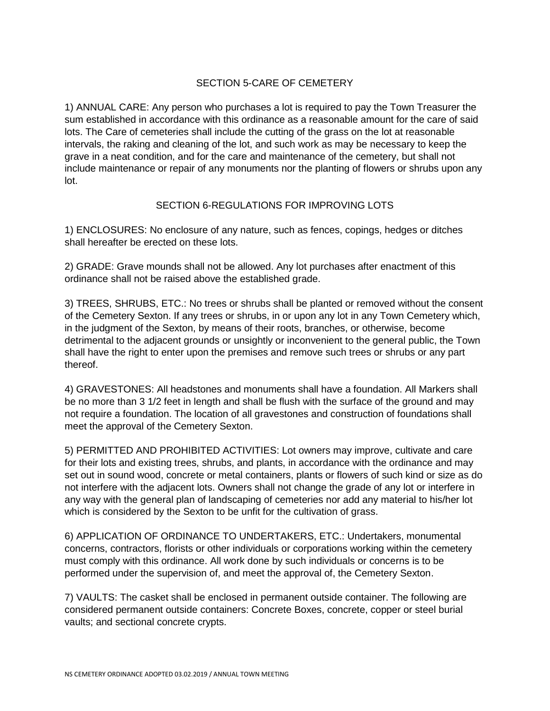# SECTION 5-CARE OF CEMETERY

1) ANNUAL CARE: Any person who purchases a lot is required to pay the Town Treasurer the sum established in accordance with this ordinance as a reasonable amount for the care of said lots. The Care of cemeteries shall include the cutting of the grass on the lot at reasonable intervals, the raking and cleaning of the lot, and such work as may be necessary to keep the grave in a neat condition, and for the care and maintenance of the cemetery, but shall not include maintenance or repair of any monuments nor the planting of flowers or shrubs upon any lot.

#### SECTION 6-REGULATIONS FOR IMPROVING LOTS

1) ENCLOSURES: No enclosure of any nature, such as fences, copings, hedges or ditches shall hereafter be erected on these lots.

2) GRADE: Grave mounds shall not be allowed. Any lot purchases after enactment of this ordinance shall not be raised above the established grade.

3) TREES, SHRUBS, ETC.: No trees or shrubs shall be planted or removed without the consent of the Cemetery Sexton. If any trees or shrubs, in or upon any lot in any Town Cemetery which, in the judgment of the Sexton, by means of their roots, branches, or otherwise, become detrimental to the adjacent grounds or unsightly or inconvenient to the general public, the Town shall have the right to enter upon the premises and remove such trees or shrubs or any part thereof.

4) GRAVESTONES: All headstones and monuments shall have a foundation. All Markers shall be no more than 3 1/2 feet in length and shall be flush with the surface of the ground and may not require a foundation. The location of all gravestones and construction of foundations shall meet the approval of the Cemetery Sexton.

5) PERMITTED AND PROHIBITED ACTIVITIES: Lot owners may improve, cultivate and care for their lots and existing trees, shrubs, and plants, in accordance with the ordinance and may set out in sound wood, concrete or metal containers, plants or flowers of such kind or size as do not interfere with the adjacent lots. Owners shall not change the grade of any lot or interfere in any way with the general plan of landscaping of cemeteries nor add any material to his/her lot which is considered by the Sexton to be unfit for the cultivation of grass.

6) APPLICATION OF ORDINANCE TO UNDERTAKERS, ETC.: Undertakers, monumental concerns, contractors, florists or other individuals or corporations working within the cemetery must comply with this ordinance. All work done by such individuals or concerns is to be performed under the supervision of, and meet the approval of, the Cemetery Sexton.

7) VAULTS: The casket shall be enclosed in permanent outside container. The following are considered permanent outside containers: Concrete Boxes, concrete, copper or steel burial vaults; and sectional concrete crypts.